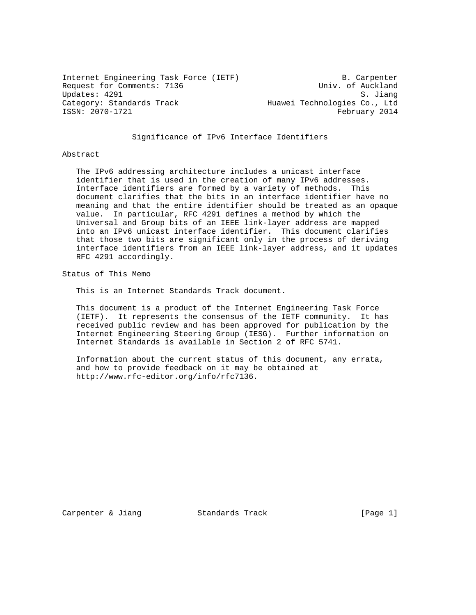Internet Engineering Task Force (IETF) B. Carpenter Request for Comments: 7136 Univ. of Auckland Updates: 4291 S. Jiang<br>Category: Standards Track (Europa Muawei Technologies Co., Ltd Huawei Technologies Co., Ltd ISSN: 2070-1721 February 2014

# Significance of IPv6 Interface Identifiers

### Abstract

 The IPv6 addressing architecture includes a unicast interface identifier that is used in the creation of many IPv6 addresses. Interface identifiers are formed by a variety of methods. This document clarifies that the bits in an interface identifier have no meaning and that the entire identifier should be treated as an opaque value. In particular, RFC 4291 defines a method by which the Universal and Group bits of an IEEE link-layer address are mapped into an IPv6 unicast interface identifier. This document clarifies that those two bits are significant only in the process of deriving interface identifiers from an IEEE link-layer address, and it updates RFC 4291 accordingly.

Status of This Memo

This is an Internet Standards Track document.

 This document is a product of the Internet Engineering Task Force (IETF). It represents the consensus of the IETF community. It has received public review and has been approved for publication by the Internet Engineering Steering Group (IESG). Further information on Internet Standards is available in Section 2 of RFC 5741.

 Information about the current status of this document, any errata, and how to provide feedback on it may be obtained at http://www.rfc-editor.org/info/rfc7136.

Carpenter & Jiang Standards Track [Page 1]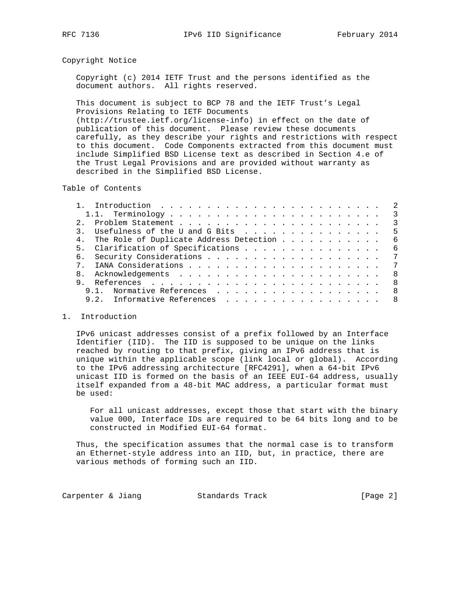### Copyright Notice

 Copyright (c) 2014 IETF Trust and the persons identified as the document authors. All rights reserved.

 This document is subject to BCP 78 and the IETF Trust's Legal Provisions Relating to IETF Documents (http://trustee.ietf.org/license-info) in effect on the date of publication of this document. Please review these documents carefully, as they describe your rights and restrictions with respect to this document. Code Components extracted from this document must include Simplified BSD License text as described in Section 4.e of the Trust Legal Provisions and are provided without warranty as described in the Simplified BSD License.

Table of Contents

|                |                                            |  |  |  |  | $\overline{\phantom{a}}$ |  |
|----------------|--------------------------------------------|--|--|--|--|--------------------------|--|
|                | 3. Usefulness of the U and G Bits          |  |  |  |  | $-5$                     |  |
|                | 4. The Role of Duplicate Address Detection |  |  |  |  | - 6                      |  |
|                | 5. Clarification of Specifications         |  |  |  |  | - 6                      |  |
|                |                                            |  |  |  |  |                          |  |
|                |                                            |  |  |  |  |                          |  |
| 8 <sub>1</sub> |                                            |  |  |  |  | - 8                      |  |
|                |                                            |  |  |  |  | - 8                      |  |
|                | 9.1. Normative References 8                |  |  |  |  |                          |  |
|                | Informative References 8<br>9 2            |  |  |  |  |                          |  |
|                |                                            |  |  |  |  |                          |  |

### 1. Introduction

 IPv6 unicast addresses consist of a prefix followed by an Interface Identifier (IID). The IID is supposed to be unique on the links reached by routing to that prefix, giving an IPv6 address that is unique within the applicable scope (link local or global). According to the IPv6 addressing architecture [RFC4291], when a 64-bit IPv6 unicast IID is formed on the basis of an IEEE EUI-64 address, usually itself expanded from a 48-bit MAC address, a particular format must be used:

 For all unicast addresses, except those that start with the binary value 000, Interface IDs are required to be 64 bits long and to be constructed in Modified EUI-64 format.

 Thus, the specification assumes that the normal case is to transform an Ethernet-style address into an IID, but, in practice, there are various methods of forming such an IID.

Carpenter & Jiang Standards Track [Page 2]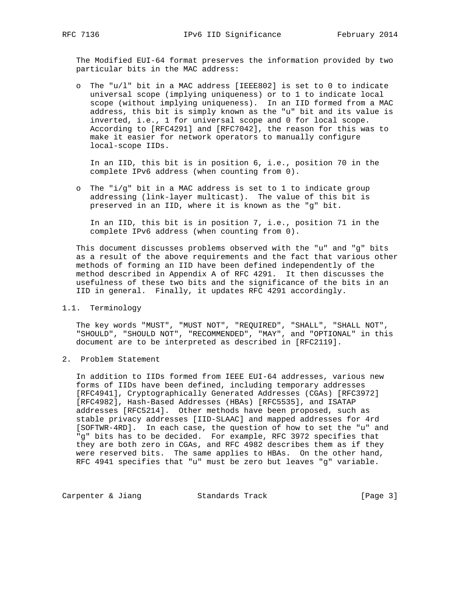The Modified EUI-64 format preserves the information provided by two particular bits in the MAC address:

 o The "u/l" bit in a MAC address [IEEE802] is set to 0 to indicate universal scope (implying uniqueness) or to 1 to indicate local scope (without implying uniqueness). In an IID formed from a MAC address, this bit is simply known as the "u" bit and its value is inverted, i.e., 1 for universal scope and 0 for local scope. According to [RFC4291] and [RFC7042], the reason for this was to make it easier for network operators to manually configure local-scope IIDs.

 In an IID, this bit is in position 6, i.e., position 70 in the complete IPv6 address (when counting from 0).

 o The "i/g" bit in a MAC address is set to 1 to indicate group addressing (link-layer multicast). The value of this bit is preserved in an IID, where it is known as the "g" bit.

 In an IID, this bit is in position 7, i.e., position 71 in the complete IPv6 address (when counting from 0).

 This document discusses problems observed with the "u" and "g" bits as a result of the above requirements and the fact that various other methods of forming an IID have been defined independently of the method described in Appendix A of RFC 4291. It then discusses the usefulness of these two bits and the significance of the bits in an IID in general. Finally, it updates RFC 4291 accordingly.

1.1. Terminology

 The key words "MUST", "MUST NOT", "REQUIRED", "SHALL", "SHALL NOT", "SHOULD", "SHOULD NOT", "RECOMMENDED", "MAY", and "OPTIONAL" in this document are to be interpreted as described in [RFC2119].

2. Problem Statement

 In addition to IIDs formed from IEEE EUI-64 addresses, various new forms of IIDs have been defined, including temporary addresses [RFC4941], Cryptographically Generated Addresses (CGAs) [RFC3972] [RFC4982], Hash-Based Addresses (HBAs) [RFC5535], and ISATAP addresses [RFC5214]. Other methods have been proposed, such as stable privacy addresses [IID-SLAAC] and mapped addresses for 4rd [SOFTWR-4RD]. In each case, the question of how to set the "u" and "g" bits has to be decided. For example, RFC 3972 specifies that they are both zero in CGAs, and RFC 4982 describes them as if they were reserved bits. The same applies to HBAs. On the other hand, RFC 4941 specifies that "u" must be zero but leaves "g" variable.

Carpenter & Jiang Standards Track [Page 3]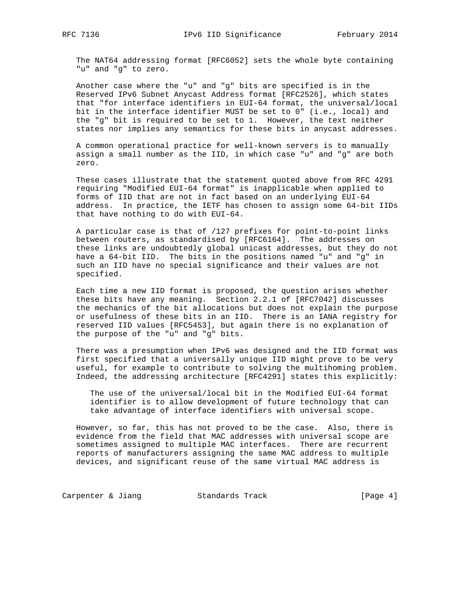The NAT64 addressing format [RFC6052] sets the whole byte containing "u" and "g" to zero.

 Another case where the "u" and "g" bits are specified is in the Reserved IPv6 Subnet Anycast Address format [RFC2526], which states that "for interface identifiers in EUI-64 format, the universal/local bit in the interface identifier MUST be set to 0" (i.e., local) and the "g" bit is required to be set to 1. However, the text neither states nor implies any semantics for these bits in anycast addresses.

 A common operational practice for well-known servers is to manually assign a small number as the IID, in which case "u" and "g" are both zero.

 These cases illustrate that the statement quoted above from RFC 4291 requiring "Modified EUI-64 format" is inapplicable when applied to forms of IID that are not in fact based on an underlying EUI-64 address. In practice, the IETF has chosen to assign some 64-bit IIDs that have nothing to do with EUI-64.

 A particular case is that of /127 prefixes for point-to-point links between routers, as standardised by [RFC6164]. The addresses on these links are undoubtedly global unicast addresses, but they do not have a 64-bit IID. The bits in the positions named "u" and "g" in such an IID have no special significance and their values are not specified.

 Each time a new IID format is proposed, the question arises whether these bits have any meaning. Section 2.2.1 of [RFC7042] discusses the mechanics of the bit allocations but does not explain the purpose or usefulness of these bits in an IID. There is an IANA registry for reserved IID values [RFC5453], but again there is no explanation of the purpose of the "u" and "g" bits.

 There was a presumption when IPv6 was designed and the IID format was first specified that a universally unique IID might prove to be very useful, for example to contribute to solving the multihoming problem. Indeed, the addressing architecture [RFC4291] states this explicitly:

 The use of the universal/local bit in the Modified EUI-64 format identifier is to allow development of future technology that can take advantage of interface identifiers with universal scope.

 However, so far, this has not proved to be the case. Also, there is evidence from the field that MAC addresses with universal scope are sometimes assigned to multiple MAC interfaces. There are recurrent reports of manufacturers assigning the same MAC address to multiple devices, and significant reuse of the same virtual MAC address is

Carpenter & Jiang Standards Track (Page 4)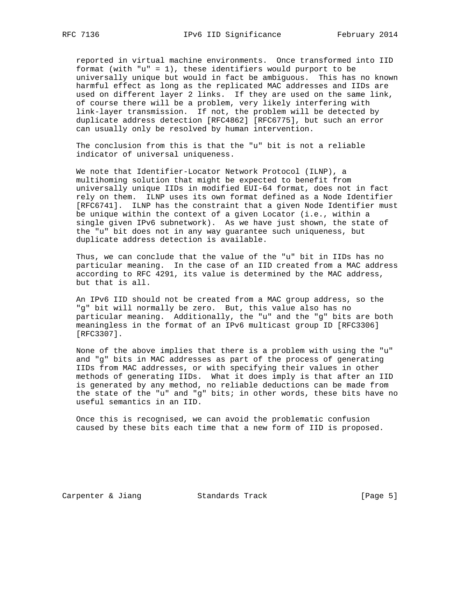reported in virtual machine environments. Once transformed into IID format (with "u" = 1), these identifiers would purport to be universally unique but would in fact be ambiguous. This has no known harmful effect as long as the replicated MAC addresses and IIDs are used on different layer 2 links. If they are used on the same link, of course there will be a problem, very likely interfering with link-layer transmission. If not, the problem will be detected by duplicate address detection [RFC4862] [RFC6775], but such an error can usually only be resolved by human intervention.

 The conclusion from this is that the "u" bit is not a reliable indicator of universal uniqueness.

 We note that Identifier-Locator Network Protocol (ILNP), a multihoming solution that might be expected to benefit from universally unique IIDs in modified EUI-64 format, does not in fact rely on them. ILNP uses its own format defined as a Node Identifier [RFC6741]. ILNP has the constraint that a given Node Identifier must be unique within the context of a given Locator (i.e., within a single given IPv6 subnetwork). As we have just shown, the state of the "u" bit does not in any way guarantee such uniqueness, but duplicate address detection is available.

 Thus, we can conclude that the value of the "u" bit in IIDs has no particular meaning. In the case of an IID created from a MAC address according to RFC 4291, its value is determined by the MAC address, but that is all.

 An IPv6 IID should not be created from a MAC group address, so the "g" bit will normally be zero. But, this value also has no particular meaning. Additionally, the "u" and the "g" bits are both meaningless in the format of an IPv6 multicast group ID [RFC3306] [RFC3307].

 None of the above implies that there is a problem with using the "u" and "g" bits in MAC addresses as part of the process of generating IIDs from MAC addresses, or with specifying their values in other methods of generating IIDs. What it does imply is that after an IID is generated by any method, no reliable deductions can be made from the state of the "u" and "g" bits; in other words, these bits have no useful semantics in an IID.

 Once this is recognised, we can avoid the problematic confusion caused by these bits each time that a new form of IID is proposed.

Carpenter & Jiang Standards Track [Page 5]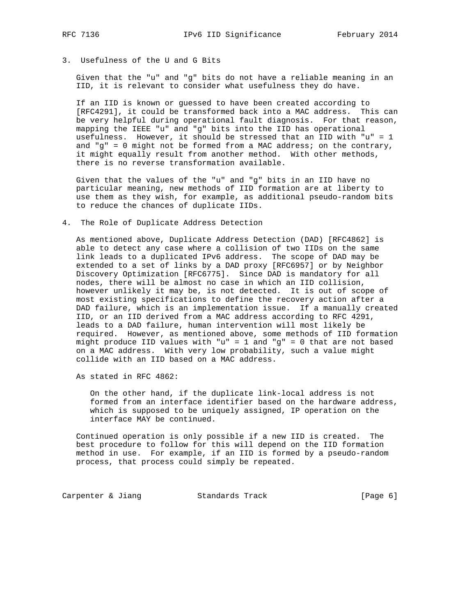3. Usefulness of the U and G Bits

 Given that the "u" and "g" bits do not have a reliable meaning in an IID, it is relevant to consider what usefulness they do have.

 If an IID is known or guessed to have been created according to [RFC4291], it could be transformed back into a MAC address. This can be very helpful during operational fault diagnosis. For that reason, mapping the IEEE "u" and "g" bits into the IID has operational usefulness. However, it should be stressed that an IID with "u" = 1 and "g" = 0 might not be formed from a MAC address; on the contrary, it might equally result from another method. With other methods, there is no reverse transformation available.

 Given that the values of the "u" and "g" bits in an IID have no particular meaning, new methods of IID formation are at liberty to use them as they wish, for example, as additional pseudo-random bits to reduce the chances of duplicate IIDs.

4. The Role of Duplicate Address Detection

 As mentioned above, Duplicate Address Detection (DAD) [RFC4862] is able to detect any case where a collision of two IIDs on the same link leads to a duplicated IPv6 address. The scope of DAD may be extended to a set of links by a DAD proxy [RFC6957] or by Neighbor Discovery Optimization [RFC6775]. Since DAD is mandatory for all nodes, there will be almost no case in which an IID collision, however unlikely it may be, is not detected. It is out of scope of most existing specifications to define the recovery action after a DAD failure, which is an implementation issue. If a manually created IID, or an IID derived from a MAC address according to RFC 4291, leads to a DAD failure, human intervention will most likely be required. However, as mentioned above, some methods of IID formation might produce IID values with "u" = 1 and "q" = 0 that are not based on a MAC address. With very low probability, such a value might collide with an IID based on a MAC address.

As stated in RFC 4862:

 On the other hand, if the duplicate link-local address is not formed from an interface identifier based on the hardware address, which is supposed to be uniquely assigned, IP operation on the interface MAY be continued.

 Continued operation is only possible if a new IID is created. The best procedure to follow for this will depend on the IID formation method in use. For example, if an IID is formed by a pseudo-random process, that process could simply be repeated.

Carpenter & Jiang Standards Track (Page 6)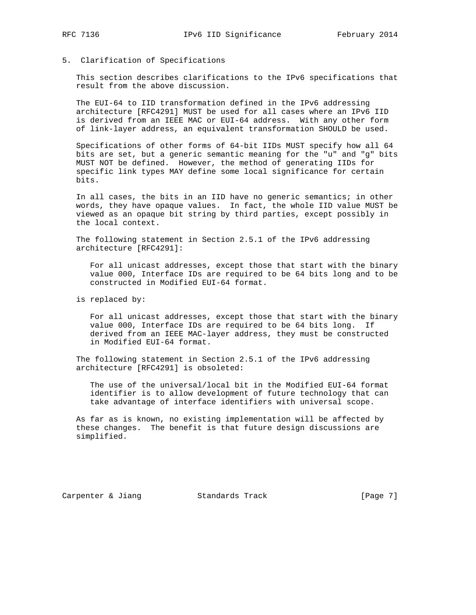# 5. Clarification of Specifications

 This section describes clarifications to the IPv6 specifications that result from the above discussion.

 The EUI-64 to IID transformation defined in the IPv6 addressing architecture [RFC4291] MUST be used for all cases where an IPv6 IID is derived from an IEEE MAC or EUI-64 address. With any other form of link-layer address, an equivalent transformation SHOULD be used.

 Specifications of other forms of 64-bit IIDs MUST specify how all 64 bits are set, but a generic semantic meaning for the "u" and "g" bits MUST NOT be defined. However, the method of generating IIDs for specific link types MAY define some local significance for certain bits.

 In all cases, the bits in an IID have no generic semantics; in other words, they have opaque values. In fact, the whole IID value MUST be viewed as an opaque bit string by third parties, except possibly in the local context.

 The following statement in Section 2.5.1 of the IPv6 addressing architecture [RFC4291]:

 For all unicast addresses, except those that start with the binary value 000, Interface IDs are required to be 64 bits long and to be constructed in Modified EUI-64 format.

is replaced by:

 For all unicast addresses, except those that start with the binary value 000, Interface IDs are required to be 64 bits long. If derived from an IEEE MAC-layer address, they must be constructed in Modified EUI-64 format.

 The following statement in Section 2.5.1 of the IPv6 addressing architecture [RFC4291] is obsoleted:

 The use of the universal/local bit in the Modified EUI-64 format identifier is to allow development of future technology that can take advantage of interface identifiers with universal scope.

 As far as is known, no existing implementation will be affected by these changes. The benefit is that future design discussions are simplified.

Carpenter & Jiang Standards Track [Page 7]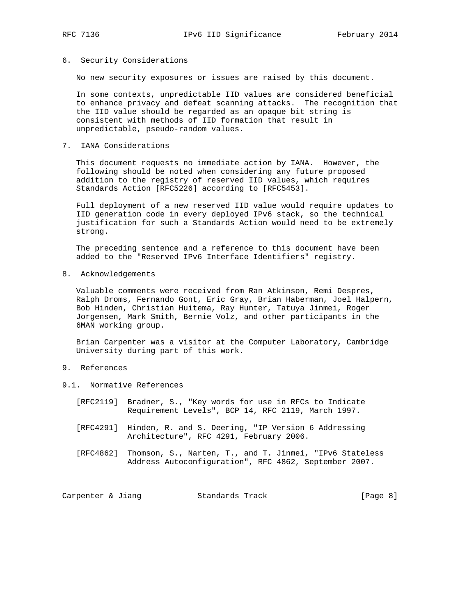## 6. Security Considerations

No new security exposures or issues are raised by this document.

 In some contexts, unpredictable IID values are considered beneficial to enhance privacy and defeat scanning attacks. The recognition that the IID value should be regarded as an opaque bit string is consistent with methods of IID formation that result in unpredictable, pseudo-random values.

### 7. IANA Considerations

 This document requests no immediate action by IANA. However, the following should be noted when considering any future proposed addition to the registry of reserved IID values, which requires Standards Action [RFC5226] according to [RFC5453].

 Full deployment of a new reserved IID value would require updates to IID generation code in every deployed IPv6 stack, so the technical justification for such a Standards Action would need to be extremely strong.

 The preceding sentence and a reference to this document have been added to the "Reserved IPv6 Interface Identifiers" registry.

8. Acknowledgements

 Valuable comments were received from Ran Atkinson, Remi Despres, Ralph Droms, Fernando Gont, Eric Gray, Brian Haberman, Joel Halpern, Bob Hinden, Christian Huitema, Ray Hunter, Tatuya Jinmei, Roger Jorgensen, Mark Smith, Bernie Volz, and other participants in the 6MAN working group.

 Brian Carpenter was a visitor at the Computer Laboratory, Cambridge University during part of this work.

# 9. References

- 9.1. Normative References
	- [RFC2119] Bradner, S., "Key words for use in RFCs to Indicate Requirement Levels", BCP 14, RFC 2119, March 1997.
	- [RFC4291] Hinden, R. and S. Deering, "IP Version 6 Addressing Architecture", RFC 4291, February 2006.
	- [RFC4862] Thomson, S., Narten, T., and T. Jinmei, "IPv6 Stateless Address Autoconfiguration", RFC 4862, September 2007.

Carpenter & Jiang Standards Track [Page 8]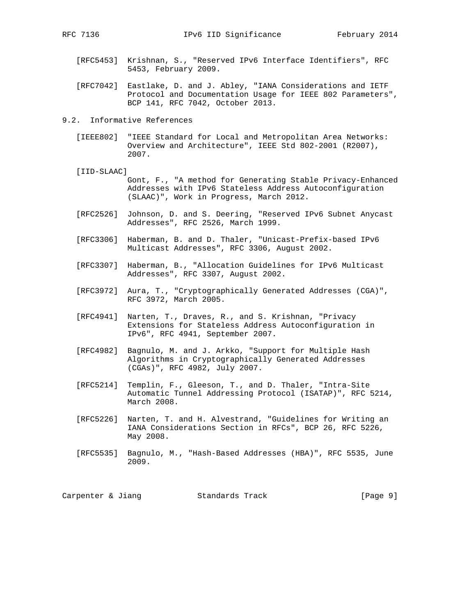- [RFC5453] Krishnan, S., "Reserved IPv6 Interface Identifiers", RFC 5453, February 2009.
- [RFC7042] Eastlake, D. and J. Abley, "IANA Considerations and IETF Protocol and Documentation Usage for IEEE 802 Parameters", BCP 141, RFC 7042, October 2013.
- 9.2. Informative References
	- [IEEE802] "IEEE Standard for Local and Metropolitan Area Networks: Overview and Architecture", IEEE Std 802-2001 (R2007), 2007.
	- [IID-SLAAC]

 Gont, F., "A method for Generating Stable Privacy-Enhanced Addresses with IPv6 Stateless Address Autoconfiguration (SLAAC)", Work in Progress, March 2012.

- [RFC2526] Johnson, D. and S. Deering, "Reserved IPv6 Subnet Anycast Addresses", RFC 2526, March 1999.
- [RFC3306] Haberman, B. and D. Thaler, "Unicast-Prefix-based IPv6 Multicast Addresses", RFC 3306, August 2002.
- [RFC3307] Haberman, B., "Allocation Guidelines for IPv6 Multicast Addresses", RFC 3307, August 2002.
- [RFC3972] Aura, T., "Cryptographically Generated Addresses (CGA)", RFC 3972, March 2005.
- [RFC4941] Narten, T., Draves, R., and S. Krishnan, "Privacy Extensions for Stateless Address Autoconfiguration in IPv6", RFC 4941, September 2007.
- [RFC4982] Bagnulo, M. and J. Arkko, "Support for Multiple Hash Algorithms in Cryptographically Generated Addresses (CGAs)", RFC 4982, July 2007.
- [RFC5214] Templin, F., Gleeson, T., and D. Thaler, "Intra-Site Automatic Tunnel Addressing Protocol (ISATAP)", RFC 5214, March 2008.
- [RFC5226] Narten, T. and H. Alvestrand, "Guidelines for Writing an IANA Considerations Section in RFCs", BCP 26, RFC 5226, May 2008.
- [RFC5535] Bagnulo, M., "Hash-Based Addresses (HBA)", RFC 5535, June 2009.

| Carpenter & Jiang |  |  | Standards Track |  | [Page 9] |  |  |
|-------------------|--|--|-----------------|--|----------|--|--|
|-------------------|--|--|-----------------|--|----------|--|--|